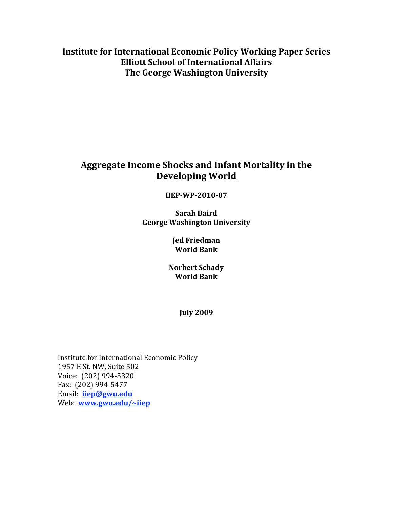**Institute for International Economic Policy Working Paper Series Elliott School of International Affairs** The George Washington University

# Aggregate Income Shocks and Infant Mortality in the **Developing World**

# **IIEP-WP-2010-07**

**Sarah Baird George Washington University** 

> **Jed Friedman World Bank**

**Norbert Schady World Bank** 

**July 2009** 

Institute for International Economic Policy 1957 E St. NW, Suite 502 Voice: (202) 994-5320 Fax: (202) 994-5477 Email: *iiep@gwu.edu* Web: www.gwu.edu/~iiep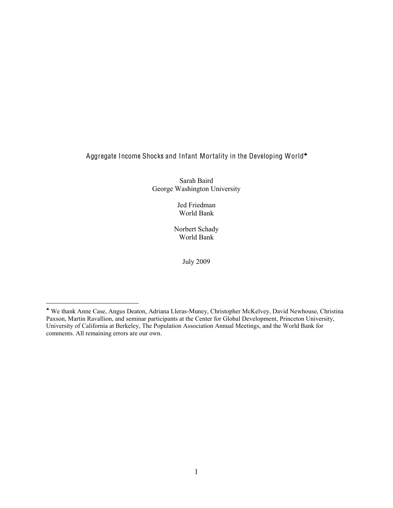# Aggregate Income Shocks and Infant Mortality in the Developing World

Sarah Baird George Washington University

> Jed Friedman World Bank

Norbert Schady World Bank

July 2009

 $\overline{a}$ 

We thank Anne Case, Angus Deaton, Adriana Lleras-Muney, Christopher McKelvey, David Newhouse, Christina Paxson, Martin Ravallion, and seminar participants at the Center for Global Development, Princeton University, University of California at Berkeley, The Population Association Annual Meetings, and the World Bank for comments. All remaining errors are our own.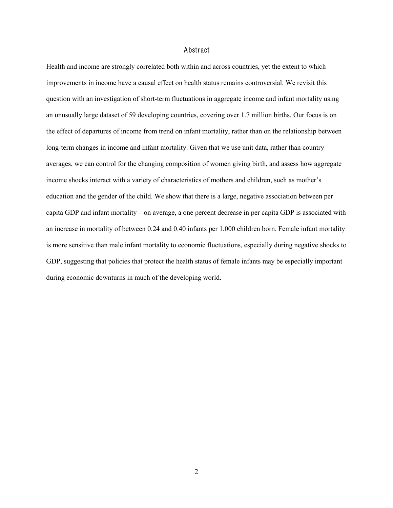#### Abstract

Health and income are strongly correlated both within and across countries, yet the extent to which improvements in income have a causal effect on health status remains controversial. We revisit this question with an investigation of short-term fluctuations in aggregate income and infant mortality using an unusually large dataset of 59 developing countries, covering over 1.7 million births. Our focus is on the effect of departures of income from trend on infant mortality, rather than on the relationship between long-term changes in income and infant mortality. Given that we use unit data, rather than country averages, we can control for the changing composition of women giving birth, and assess how aggregate income shocks interact with a variety of characteristics of mothers and children, such as mother's education and the gender of the child. We show that there is a large, negative association between per capita GDP and infant mortality—on average, a one percent decrease in per capita GDP is associated with an increase in mortality of between 0.24 and 0.40 infants per 1,000 children born. Female infant mortality is more sensitive than male infant mortality to economic fluctuations, especially during negative shocks to GDP, suggesting that policies that protect the health status of female infants may be especially important during economic downturns in much of the developing world.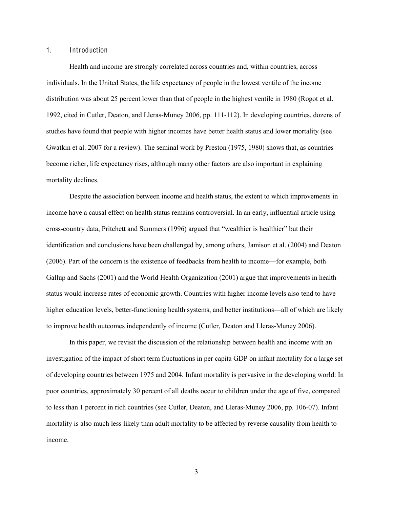### 1. Introduction

Health and income are strongly correlated across countries and, within countries, across individuals. In the United States, the life expectancy of people in the lowest ventile of the income distribution was about 25 percent lower than that of people in the highest ventile in 1980 (Rogot et al. 1992, cited in Cutler, Deaton, and Lleras-Muney 2006, pp. 111-112). In developing countries, dozens of studies have found that people with higher incomes have better health status and lower mortality (see Gwatkin et al. 2007 for a review). The seminal work by Preston (1975, 1980) shows that, as countries become richer, life expectancy rises, although many other factors are also important in explaining mortality declines.

Despite the association between income and health status, the extent to which improvements in income have a causal effect on health status remains controversial. In an early, influential article using cross-country data, Pritchett and Summers (1996) argued that "wealthier is healthier" but their identification and conclusions have been challenged by, among others, Jamison et al. (2004) and Deaton (2006). Part of the concern is the existence of feedbacks from health to income—for example, both Gallup and Sachs (2001) and the World Health Organization (2001) argue that improvements in health status would increase rates of economic growth. Countries with higher income levels also tend to have higher education levels, better-functioning health systems, and better institutions—all of which are likely to improve health outcomes independently of income (Cutler, Deaton and Lleras-Muney 2006).

In this paper, we revisit the discussion of the relationship between health and income with an investigation of the impact of short term fluctuations in per capita GDP on infant mortality for a large set of developing countries between 1975 and 2004. Infant mortality is pervasive in the developing world: In poor countries, approximately 30 percent of all deaths occur to children under the age of five, compared to less than 1 percent in rich countries (see Cutler, Deaton, and Lleras-Muney 2006, pp. 106-07). Infant mortality is also much less likely than adult mortality to be affected by reverse causality from health to income.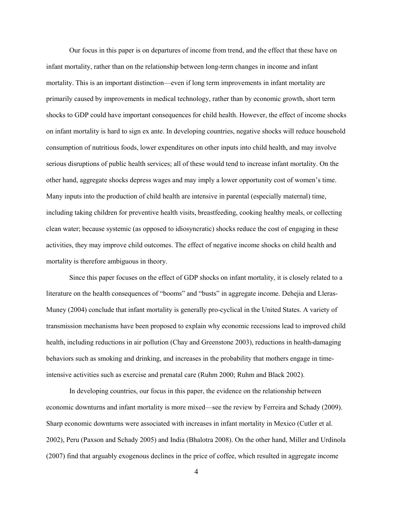Our focus in this paper is on departures of income from trend, and the effect that these have on infant mortality, rather than on the relationship between long-term changes in income and infant mortality. This is an important distinction—even if long term improvements in infant mortality are primarily caused by improvements in medical technology, rather than by economic growth, short term shocks to GDP could have important consequences for child health. However, the effect of income shocks on infant mortality is hard to sign ex ante. In developing countries, negative shocks will reduce household consumption of nutritious foods, lower expenditures on other inputs into child health, and may involve serious disruptions of public health services; all of these would tend to increase infant mortality. On the other hand, aggregate shocks depress wages and may imply a lower opportunity cost of women's time. Many inputs into the production of child health are intensive in parental (especially maternal) time, including taking children for preventive health visits, breastfeeding, cooking healthy meals, or collecting clean water; because systemic (as opposed to idiosyncratic) shocks reduce the cost of engaging in these activities, they may improve child outcomes. The effect of negative income shocks on child health and mortality is therefore ambiguous in theory.

Since this paper focuses on the effect of GDP shocks on infant mortality, it is closely related to a literature on the health consequences of "booms" and "busts" in aggregate income. Dehejia and Lleras-Muney (2004) conclude that infant mortality is generally pro-cyclical in the United States. A variety of transmission mechanisms have been proposed to explain why economic recessions lead to improved child health, including reductions in air pollution (Chay and Greenstone 2003), reductions in health-damaging behaviors such as smoking and drinking, and increases in the probability that mothers engage in timeintensive activities such as exercise and prenatal care (Ruhm 2000; Ruhm and Black 2002).

In developing countries, our focus in this paper, the evidence on the relationship between economic downturns and infant mortality is more mixed—see the review by Ferreira and Schady (2009). Sharp economic downturns were associated with increases in infant mortality in Mexico (Cutler et al. 2002), Peru (Paxson and Schady 2005) and India (Bhalotra 2008). On the other hand, Miller and Urdinola (2007) find that arguably exogenous declines in the price of coffee, which resulted in aggregate income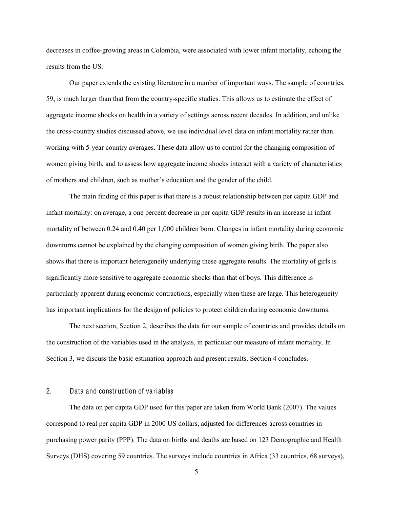decreases in coffee-growing areas in Colombia, were associated with lower infant mortality, echoing the results from the US.

Our paper extends the existing literature in a number of important ways. The sample of countries, 59, is much larger than that from the country-specific studies. This allows us to estimate the effect of aggregate income shocks on health in a variety of settings across recent decades. In addition, and unlike the cross-country studies discussed above, we use individual level data on infant mortality rather than working with 5-year country averages. These data allow us to control for the changing composition of women giving birth, and to assess how aggregate income shocks interact with a variety of characteristics of mothers and children, such as mother's education and the gender of the child.

The main finding of this paper is that there is a robust relationship between per capita GDP and infant mortality: on average, a one percent decrease in per capita GDP results in an increase in infant mortality of between 0.24 and 0.40 per 1,000 children born. Changes in infant mortality during economic downturns cannot be explained by the changing composition of women giving birth. The paper also shows that there is important heterogeneity underlying these aggregate results. The mortality of girls is significantly more sensitive to aggregate economic shocks than that of boys. This difference is particularly apparent during economic contractions, especially when these are large. This heterogeneity has important implications for the design of policies to protect children during economic downturns.

The next section, Section 2, describes the data for our sample of countries and provides details on the construction of the variables used in the analysis, in particular our measure of infant mortality. In Section 3, we discuss the basic estimation approach and present results. Section 4 concludes.

#### 2. Data and construction of variables

The data on per capita GDP used for this paper are taken from World Bank (2007). The values correspond to real per capita GDP in 2000 US dollars, adjusted for differences across countries in purchasing power parity (PPP). The data on births and deaths are based on 123 Demographic and Health Surveys (DHS) covering 59 countries. The surveys include countries in Africa (33 countries, 68 surveys),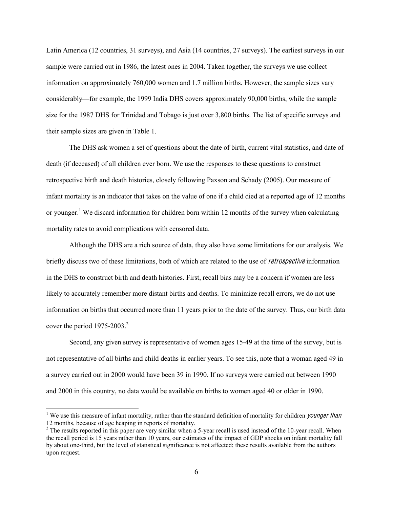Latin America (12 countries, 31 surveys), and Asia (14 countries, 27 surveys). The earliest surveys in our sample were carried out in 1986, the latest ones in 2004. Taken together, the surveys we use collect information on approximately 760,000 women and 1.7 million births. However, the sample sizes vary considerably—for example, the 1999 India DHS covers approximately 90,000 births, while the sample size for the 1987 DHS for Trinidad and Tobago is just over 3,800 births. The list of specific surveys and their sample sizes are given in Table 1.

The DHS ask women a set of questions about the date of birth, current vital statistics, and date of death (if deceased) of all children ever born. We use the responses to these questions to construct retrospective birth and death histories, closely following Paxson and Schady (2005). Our measure of infant mortality is an indicator that takes on the value of one if a child died at a reported age of 12 months or younger.<sup>1</sup> We discard information for children born within 12 months of the survey when calculating mortality rates to avoid complications with censored data.

Although the DHS are a rich source of data, they also have some limitations for our analysis. We briefly discuss two of these limitations, both of which are related to the use of *retrospective* information in the DHS to construct birth and death histories. First, recall bias may be a concern if women are less likely to accurately remember more distant births and deaths. To minimize recall errors, we do not use information on births that occurred more than 11 years prior to the date of the survey. Thus, our birth data cover the period  $1975-2003<sup>2</sup>$ .

Second, any given survey is representative of women ages 15-49 at the time of the survey, but is not representative of all births and child deaths in earlier years. To see this, note that a woman aged 49 in a survey carried out in 2000 would have been 39 in 1990. If no surveys were carried out between 1990 and 2000 in this country, no data would be available on births to women aged 40 or older in 1990.

<sup>&</sup>lt;sup>1</sup> We use this measure of infant mortality, rather than the standard definition of mortality for children *younger than* 12 months, because of age heaping in reports of mortality.

<sup>&</sup>lt;sup>2</sup> The results reported in this paper are very similar when a 5-year recall is used instead of the 10-year recall. When the recall period is 15 years rather than 10 years, our estimates of the impact of GDP shocks on infant mortality fall by about one-third, but the level of statistical significance is not affected; these results available from the authors upon request.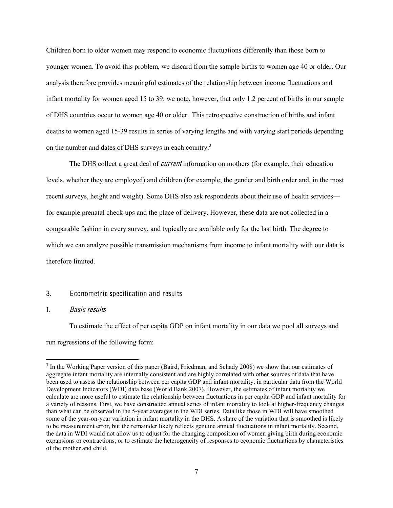Children born to older women may respond to economic fluctuations differently than those born to younger women. To avoid this problem, we discard from the sample births to women age 40 or older. Our analysis therefore provides meaningful estimates of the relationship between income fluctuations and infant mortality for women aged 15 to 39; we note, however, that only 1.2 percent of births in our sample of DHS countries occur to women age 40 or older. This retrospective construction of births and infant deaths to women aged 15-39 results in series of varying lengths and with varying start periods depending on the number and dates of DHS surveys in each country.<sup>3</sup>

The DHS collect a great deal of *current* information on mothers (for example, their education levels, whether they are employed) and children (for example, the gender and birth order and, in the most recent surveys, height and weight). Some DHS also ask respondents about their use of health services for example prenatal check-ups and the place of delivery. However, these data are not collected in a comparable fashion in every survey, and typically are available only for the last birth. The degree to which we can analyze possible transmission mechanisms from income to infant mortality with our data is therefore limited.

#### 3. Econometric specification and results

#### I. Basi<sup>c</sup> <sup>r</sup>esults

To estimate the effect of per capita GDP on infant mortality in our data we pool all surveys and run regressions of the following form:

<sup>&</sup>lt;sup>3</sup> In the Working Paper version of this paper (Baird, Friedman, and Schady 2008) we show that our estimates of aggregate infant mortality are internally consistent and are highly correlated with other sources of data that have been used to assess the relationship between per capita GDP and infant mortality, in particular data from the World Development Indicators (WDI) data base (World Bank 2007). However, the estimates of infant mortality we calculate are more useful to estimate the relationship between fluctuations in per capita GDP and infant mortality for a variety of reasons. First, we have constructed annual series of infant mortality to look at higher-frequency changes than what can be observed in the 5-year averages in the WDI series. Data like those in WDI will have smoothed some of the year-on-year variation in infant mortality in the DHS. A share of the variation that is smoothed is likely to be measurement error, but the remainder likely reflects genuine annual fluctuations in infant mortality. Second, the data in WDI would not allow us to adjust for the changing composition of women giving birth during economic expansions or contractions, or to estimate the heterogeneity of responses to economic fluctuations by characteristics of the mother and child.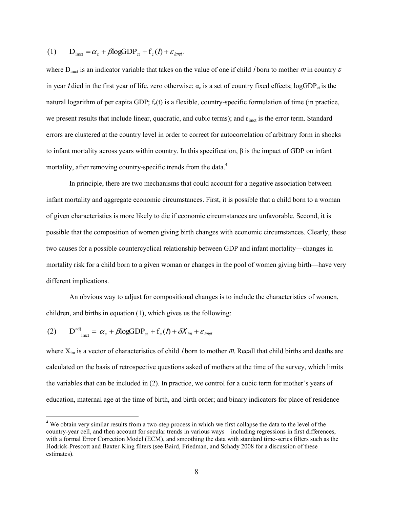(1) 
$$
D_{\text{imct}} = \alpha_{\text{c}} + \beta \log \text{GDP}_{\text{ct}} + f_{\text{c}}(t) + \varepsilon_{\text{imct}}.
$$

where  $D_{\text{imct}}$  is an indicator variable that takes on the value of one if child *i* born to mother *m* in country *c* in year t died in the first year of life, zero otherwise;  $\alpha_c$  is a set of country fixed effects; logGDP<sub>ct</sub> is the natural logarithm of per capita GDP;  $f_c(t)$  is a flexible, country-specific formulation of time (in practice, we present results that include linear, quadratic, and cubic terms); and  $\varepsilon_{\rm imct}$  is the error term. Standard errors are clustered at the country level in order to correct for autocorrelation of arbitrary form in shocks to infant mortality across years within country. In this specification,  $\beta$  is the impact of GDP on infant mortality, after removing country-specific trends from the data.<sup>4</sup>

In principle, there are two mechanisms that could account for a negative association between infant mortality and aggregate economic circumstances. First, it is possible that a child born to a woman of given characteristics is more likely to die if economic circumstances are unfavorable. Second, it is possible that the composition of women giving birth changes with economic circumstances. Clearly, these two causes for a possible countercyclical relationship between GDP and infant mortality—changes in mortality risk for a child born to a given woman or changes in the pool of women giving birth—have very different implications.

An obvious way to adjust for compositional changes is to include the characteristics of women, children, and births in equation (1), which gives us the following:

(2) 
$$
D^{adj}_{\text{imct}} = \alpha_c + \beta \log GDP_{ct} + f_c(f) + \delta X_{\text{im}} + \varepsilon_{\text{imct}}
$$

where  $X_{im}$  is a vector of characteristics of child *i* born to mother *m*. Recall that child births and deaths are calculated on the basis of retrospective questions asked of mothers at the time of the survey, which limits the variables that can be included in (2). In practice, we control for a cubic term for mother's years of education, maternal age at the time of birth, and birth order; and binary indicators for place of residence

<sup>&</sup>lt;sup>4</sup> We obtain very similar results from a two-step process in which we first collapse the data to the level of the country-year cell, and then account for secular trends in various ways—including regressions in first differences, with a formal Error Correction Model (ECM), and smoothing the data with standard time-series filters such as the Hodrick-Prescott and Baxter-King filters (see Baird, Friedman, and Schady 2008 for a discussion of these estimates).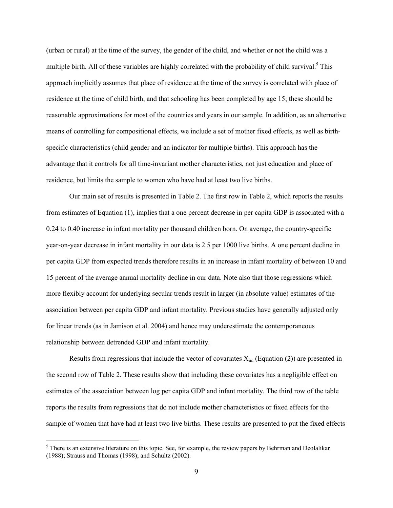(urban or rural) at the time of the survey, the gender of the child, and whether or not the child was a multiple birth. All of these variables are highly correlated with the probability of child survival.<sup>5</sup> This approach implicitly assumes that place of residence at the time of the survey is correlated with place of residence at the time of child birth, and that schooling has been completed by age 15; these should be reasonable approximations for most of the countries and years in our sample. In addition, as an alternative means of controlling for compositional effects, we include a set of mother fixed effects, as well as birthspecific characteristics (child gender and an indicator for multiple births). This approach has the advantage that it controls for all time-invariant mother characteristics, not just education and place of residence, but limits the sample to women who have had at least two live births.

Our main set of results is presented in Table 2. The first row in Table 2, which reports the results from estimates of Equation (1), implies that a one percent decrease in per capita GDP is associated with a 0.24 to 0.40 increase in infant mortality per thousand children born. On average, the country-specific year-on-year decrease in infant mortality in our data is 2.5 per 1000 live births. A one percent decline in per capita GDP from expected trends therefore results in an increase in infant mortality of between 10 and 15 percent of the average annual mortality decline in our data. Note also that those regressions which more flexibly account for underlying secular trends result in larger (in absolute value) estimates of the association between per capita GDP and infant mortality. Previous studies have generally adjusted only for linear trends (as in Jamison et al. 2004) and hence may underestimate the contemporaneous relationship between detrended GDP and infant mortality.

Results from regressions that include the vector of covariates  $X_{im}$  (Equation (2)) are presented in the second row of Table 2. These results show that including these covariates has a negligible effect on estimates of the association between log per capita GDP and infant mortality. The third row of the table reports the results from regressions that do not include mother characteristics or fixed effects for the sample of women that have had at least two live births. These results are presented to put the fixed effects

<sup>&</sup>lt;sup>5</sup> There is an extensive literature on this topic. See, for example, the review papers by Behrman and Deolalikar (1988); Strauss and Thomas (1998); and Schultz (2002).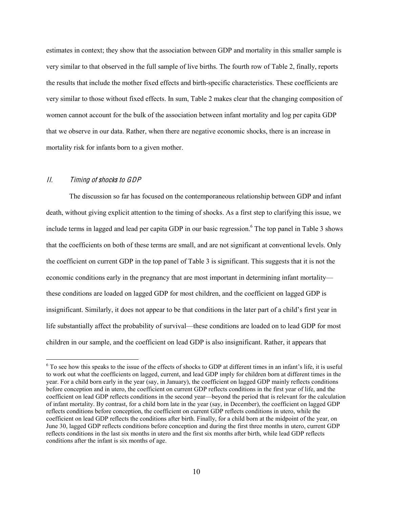estimates in context; they show that the association between GDP and mortality in this smaller sample is very similar to that observed in the full sample of live births. The fourth row of Table 2, finally, reports the results that include the mother fixed effects and birth-specific characteristics. These coefficients are very similar to those without fixed effects. In sum, Table 2 makes clear that the changing composition of women cannot account for the bulk of the association between infant mortality and log per capita GDP that we observe in our data. Rather, when there are negative economic shocks, there is an increase in mortality risk for infants born to a given mother.

## II. Timing <sup>o</sup>f <sup>s</sup>hock<sup>s</sup> t<sup>o</sup> GDP

The discussion so far has focused on the contemporaneous relationship between GDP and infant death, without giving explicit attention to the timing of shocks. As a first step to clarifying this issue, we include terms in lagged and lead per capita GDP in our basic regression.<sup>6</sup> The top panel in Table 3 shows that the coefficients on both of these terms are small, and are not significant at conventional levels. Only the coefficient on current GDP in the top panel of Table 3 is significant. This suggests that it is not the economic conditions early in the pregnancy that are most important in determining infant mortality these conditions are loaded on lagged GDP for most children, and the coefficient on lagged GDP is insignificant. Similarly, it does not appear to be that conditions in the later part of a child's first year in life substantially affect the probability of survival—these conditions are loaded on to lead GDP for most children in our sample, and the coefficient on lead GDP is also insignificant. Rather, it appears that

 $6$  To see how this speaks to the issue of the effects of shocks to GDP at different times in an infant's life, it is useful to work out what the coefficients on lagged, current, and lead GDP imply for children born at different times in the year. For a child born early in the year (say, in January), the coefficient on lagged GDP mainly reflects conditions before conception and in utero, the coefficient on current GDP reflects conditions in the first year of life, and the coefficient on lead GDP reflects conditions in the second year—beyond the period that is relevant for the calculation of infant mortality. By contrast, for a child born late in the year (say, in December), the coefficient on lagged GDP reflects conditions before conception, the coefficient on current GDP reflects conditions in utero, while the coefficient on lead GDP reflects the conditions after birth. Finally, for a child born at the midpoint of the year, on June 30, lagged GDP reflects conditions before conception and during the first three months in utero, current GDP reflects conditions in the last six months in utero and the first six months after birth, while lead GDP reflects conditions after the infant is six months of age.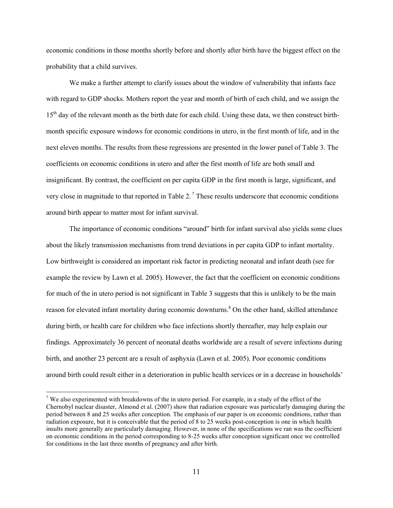economic conditions in those months shortly before and shortly after birth have the biggest effect on the probability that a child survives.

We make a further attempt to clarify issues about the window of vulnerability that infants face with regard to GDP shocks. Mothers report the year and month of birth of each child, and we assign the 15<sup>th</sup> day of the relevant month as the birth date for each child. Using these data, we then construct birthmonth specific exposure windows for economic conditions in utero, in the first month of life, and in the next eleven months. The results from these regressions are presented in the lower panel of Table 3. The coefficients on economic conditions in utero and after the first month of life are both small and insignificant. By contrast, the coefficient on per capita GDP in the first month is large, significant, and very close in magnitude to that reported in Table 2.<sup>7</sup> These results underscore that economic conditions around birth appear to matter most for infant survival.

The importance of economic conditions "around" birth for infant survival also yields some clues about the likely transmission mechanisms from trend deviations in per capita GDP to infant mortality. Low birthweight is considered an important risk factor in predicting neonatal and infant death (see for example the review by Lawn et al. 2005). However, the fact that the coefficient on economic conditions for much of the in utero period is not significant in Table 3 suggests that this is unlikely to be the main reason for elevated infant mortality during economic downturns.<sup>8</sup> On the other hand, skilled attendance during birth, or health care for children who face infections shortly thereafter, may help explain our findings. Approximately 36 percent of neonatal deaths worldwide are a result of severe infections during birth, and another 23 percent are a result of asphyxia (Lawn et al. 2005). Poor economic conditions around birth could result either in a deterioration in public health services or in a decrease in households'

 $7$  We also experimented with breakdowns of the in utero period. For example, in a study of the effect of the Chernobyl nuclear disaster, Almond et al. (2007) show that radiation exposure was particularly damaging during the period between 8 and 25 weeks after conception. The emphasis of our paper is on economic conditions, rather than radiation exposure, but it is conceivable that the period of 8 to 25 weeks post-conception is one in which health insults more generally are particularly damaging. However, in none of the specifications we ran was the coefficient on economic conditions in the period corresponding to 8-25 weeks after conception significant once we controlled for conditions in the last three months of pregnancy and after birth.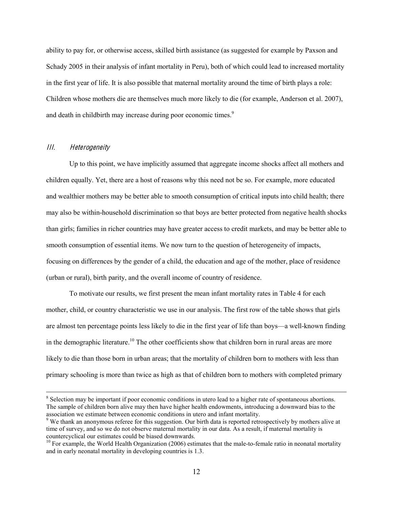ability to pay for, or otherwise access, skilled birth assistance (as suggested for example by Paxson and Schady 2005 in their analysis of infant mortality in Peru), both of which could lead to increased mortality in the first year of life. It is also possible that maternal mortality around the time of birth plays a role: Children whose mothers die are themselves much more likely to die (for example, Anderson et al. 2007), and death in childbirth may increase during poor economic times.<sup>9</sup>

#### III. Heterogeneity

Up to this point, we have implicitly assumed that aggregate income shocks affect all mothers and children equally. Yet, there are a host of reasons why this need not be so. For example, more educated and wealthier mothers may be better able to smooth consumption of critical inputs into child health; there may also be within-household discrimination so that boys are better protected from negative health shocks than girls; families in richer countries may have greater access to credit markets, and may be better able to smooth consumption of essential items. We now turn to the question of heterogeneity of impacts, focusing on differences by the gender of a child, the education and age of the mother, place of residence (urban or rural), birth parity, and the overall income of country of residence.

To motivate our results, we first present the mean infant mortality rates in Table 4 for each mother, child, or country characteristic we use in our analysis. The first row of the table shows that girls are almost ten percentage points less likely to die in the first year of life than boys—a well-known finding in the demographic literature.<sup>10</sup> The other coefficients show that children born in rural areas are more likely to die than those born in urban areas; that the mortality of children born to mothers with less than primary schooling is more than twice as high as that of children born to mothers with completed primary

<sup>&</sup>lt;sup>8</sup> Selection may be important if poor economic conditions in utero lead to a higher rate of spontaneous abortions. The sample of children born alive may then have higher health endowments, introducing a downward bias to the association we estimate between economic conditions in utero and infant mortality.

<sup>9</sup> We thank an anonymous referee for this suggestion. Our birth data is reported retrospectively by mothers alive at time of survey, and so we do not observe maternal mortality in our data. As a result, if maternal mortality is countercyclical our estimates could be biased downwards.

 $10$  For example, the World Health Organization (2006) estimates that the male-to-female ratio in neonatal mortality and in early neonatal mortality in developing countries is 1.3.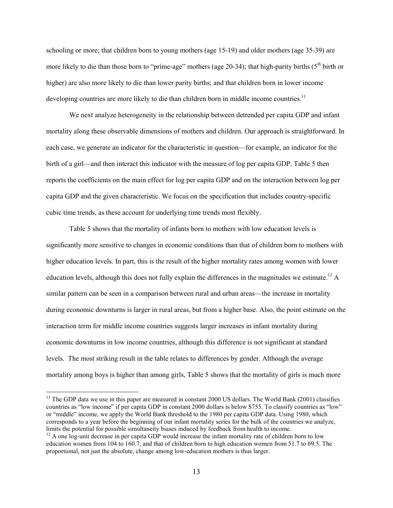schooling or more; that children born to young mothers (age 15-19) and older mothers (age 35-39) are more likely to die than those born to "prime-age" mothers (age 20-34); that high-parity births ( $5<sup>th</sup>$  birth or higher) are also more likely to die than lower parity births; and that children born in lower income developing countries are more likely to die than children born in middle income countries.<sup>11</sup>

We next analyze heterogeneity in the relationship between detrended per capita GDP and infant mortality along these observable dimensions of mothers and children. Our approach is straightforward. In each case, we generate an indicator for the characteristic in question—for example, an indicator for the birth of a girl—and then interact this indicator with the measure of log per capita GDP. Table 5 then reports the coefficients on the main effect for log per capita GDP and on the interaction between log per capita GDP and the given characteristic. We focus on the specification that includes country-specific cubic time trends, as these account for underlying time trends most flexibly.

Table 5 shows that the mortality of infants born to mothers with low education levels is significantly more sensitive to changes in economic conditions than that of children born to mothers with higher education levels. In part, this is the result of the higher mortality rates among women with lower education levels, although this does not fully explain the differences in the magnitudes we estimate.<sup>12</sup> A similar pattern can be seen in a comparison between rural and urban areas—the increase in mortality during economic downturns is larger in rural areas, but from a higher base. Also, the point estimate on the interaction term for middle income countries suggests larger increases in infant mortality during economic downturns in low income countries, although this difference is not significant at standard levels. The most striking result in the table relates to differences by gender. Although the average mortality among boys is higher than among girls, Table 5 shows that the mortality of girls is much more

 $11$  The GDP data we use in this paper are measured in constant 2000 US dollars. The World Bank (2001) classifies countries as "low income" if per capita GDP in constant 2000 dollars is below \$755. To classify countries as "low" or "middle" income, we apply the World Bank threshold to the 1980 per capita GDP data. Using 1980, which corresponds to a year before the beginning of our infant mortality series for the bulk of the countries we analyze, limits the potential for possible simultaneity biases induced by feedback from health to income.<br><sup>12</sup> A one log-unit decrease in per capita GDP would increase the infant mortality rate of children born to low

education women from 104 to 160.7, and that of children born to high education women from 51.7 to 69.5. The proportional, not just the absolute, change among low-education mothers is thus larger.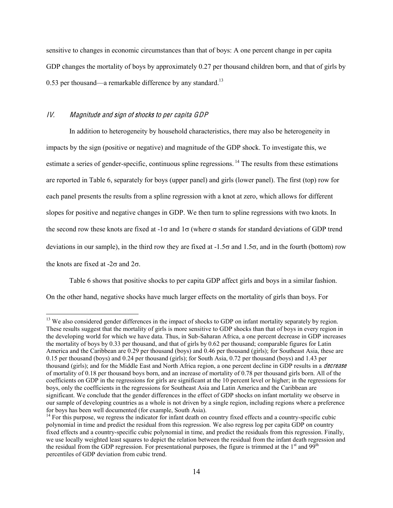sensitive to changes in economic circumstances than that of boys: A one percent change in per capita GDP changes the mortality of boys by approximately 0.27 per thousand children born, and that of girls by 0.53 per thousand—a remarkable difference by any standard.<sup>13</sup>

### IV. Magnitud<sup>e</sup> and <sup>s</sup>ign <sup>o</sup>f <sup>s</sup>hock<sup>s</sup> t<sup>o</sup> pe<sup>r</sup> <sup>c</sup>apit<sup>a</sup> GDP

In addition to heterogeneity by household characteristics, there may also be heterogeneity in impacts by the sign (positive or negative) and magnitude of the GDP shock. To investigate this, we estimate a series of gender-specific, continuous spline regressions.<sup>14</sup> The results from these estimations are reported in Table 6, separately for boys (upper panel) and girls (lower panel). The first (top) row for each panel presents the results from a spline regression with a knot at zero, which allows for different slopes for positive and negative changes in GDP. We then turn to spline regressions with two knots. In the second row these knots are fixed at  $-1\sigma$  and  $1\sigma$  (where  $\sigma$  stands for standard deviations of GDP trend deviations in our sample), in the third row they are fixed at  $-1.5\sigma$  and  $1.5\sigma$ , and in the fourth (bottom) row the knots are fixed at  $-2\sigma$  and  $2\sigma$ .

Table 6 shows that positive shocks to per capita GDP affect girls and boys in a similar fashion. On the other hand, negative shocks have much larger effects on the mortality of girls than boys. For

<sup>&</sup>lt;sup>13</sup> We also considered gender differences in the impact of shocks to GDP on infant mortality separately by region. These results suggest that the mortality of girls is more sensitive to GDP shocks than that of boys in every region in the developing world for which we have data. Thus, in Sub-Saharan Africa, a one percent decrease in GDP increases the mortality of boys by 0.33 per thousand, and that of girls by 0.62 per thousand; comparable figures for Latin America and the Caribbean are 0.29 per thousand (boys) and 0.46 per thousand (girls); for Southeast Asia, these are 0.15 per thousand (boys) and 0.24 per thousand (girls); for South Asia, 0.72 per thousand (boys) and 1.43 per thousand (girls); and for the Middle East and North Africa region, a one percent decline in GDP results in a *decrease* of mortality of 0.18 per thousand boys born, and an increase of mortality of 0.78 per thousand girls born. All of the coefficients on GDP in the regressions for girls are significant at the 10 percent level or higher; in the regressions for boys, only the coefficients in the regressions for Southeast Asia and Latin America and the Caribbean are significant. We conclude that the gender differences in the effect of GDP shocks on infant mortality we observe in our sample of developing countries as a whole is not driven by a single region, including regions where a preference for boys has been well documented (for example, South Asia).

 $14$  For this purpose, we regress the indicator for infant death on country fixed effects and a country-specific cubic polynomial in time and predict the residual from this regression. We also regress log per capita GDP on country fixed effects and a country-specific cubic polynomial in time, and predict the residuals from this regression. Finally, we use locally weighted least squares to depict the relation between the residual from the infant death regression and the residual from the GDP regression. For presentational purposes, the figure is trimmed at the  $1<sup>st</sup>$  and  $99<sup>th</sup>$ percentiles of GDP deviation from cubic trend.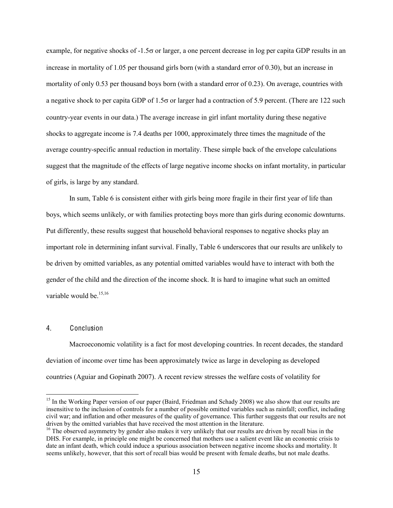example, for negative shocks of -1.5 $\sigma$  or larger, a one percent decrease in log per capita GDP results in an increase in mortality of 1.05 per thousand girls born (with a standard error of 0.30), but an increase in mortality of only 0.53 per thousand boys born (with a standard error of 0.23). On average, countries with a negative shock to per capita GDP of 1.5 $\sigma$  or larger had a contraction of 5.9 percent. (There are 122 such country-year events in our data.) The average increase in girl infant mortality during these negative shocks to aggregate income is 7.4 deaths per 1000, approximately three times the magnitude of the average country-specific annual reduction in mortality. These simple back of the envelope calculations suggest that the magnitude of the effects of large negative income shocks on infant mortality, in particular of girls, is large by any standard.

In sum, Table 6 is consistent either with girls being more fragile in their first year of life than boys, which seems unlikely, or with families protecting boys more than girls during economic downturns. Put differently, these results suggest that household behavioral responses to negative shocks play an important role in determining infant survival. Finally, Table 6 underscores that our results are unlikely to be driven by omitted variables, as any potential omitted variables would have to interact with both the gender of the child and the direction of the income shock. It is hard to imagine what such an omitted variable would be. $15,16$ 

### 4. Conclusion

Macroeconomic volatility is a fact for most developing countries. In recent decades, the standard deviation of income over time has been approximately twice as large in developing as developed countries (Aguiar and Gopinath 2007). A recent review stresses the welfare costs of volatility for

<sup>&</sup>lt;sup>15</sup> In the Working Paper version of our paper (Baird, Friedman and Schady 2008) we also show that our results are insensitive to the inclusion of controls for a number of possible omitted variables such as rainfall; conflict, including civil war; and inflation and other measures of the quality of governance. This further suggests that our results are not

 $16$  The observed asymmetry by gender also makes it very unlikely that our results are driven by recall bias in the DHS. For example, in principle one might be concerned that mothers use a salient event like an economic crisis to date an infant death, which could induce a spurious association between negative income shocks and mortality. It seems unlikely, however, that this sort of recall bias would be present with female deaths, but not male deaths.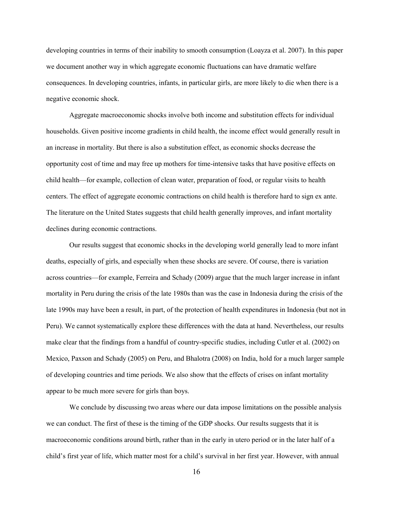developing countries in terms of their inability to smooth consumption (Loayza et al. 2007). In this paper we document another way in which aggregate economic fluctuations can have dramatic welfare consequences. In developing countries, infants, in particular girls, are more likely to die when there is a negative economic shock.

Aggregate macroeconomic shocks involve both income and substitution effects for individual households. Given positive income gradients in child health, the income effect would generally result in an increase in mortality. But there is also a substitution effect, as economic shocks decrease the opportunity cost of time and may free up mothers for time-intensive tasks that have positive effects on child health—for example, collection of clean water, preparation of food, or regular visits to health centers. The effect of aggregate economic contractions on child health is therefore hard to sign ex ante. The literature on the United States suggests that child health generally improves, and infant mortality declines during economic contractions.

Our results suggest that economic shocks in the developing world generally lead to more infant deaths, especially of girls, and especially when these shocks are severe. Of course, there is variation across countries—for example, Ferreira and Schady (2009) argue that the much larger increase in infant mortality in Peru during the crisis of the late 1980s than was the case in Indonesia during the crisis of the late 1990s may have been a result, in part, of the protection of health expenditures in Indonesia (but not in Peru). We cannot systematically explore these differences with the data at hand. Nevertheless, our results make clear that the findings from a handful of country-specific studies, including Cutler et al. (2002) on Mexico, Paxson and Schady (2005) on Peru, and Bhalotra (2008) on India, hold for a much larger sample of developing countries and time periods. We also show that the effects of crises on infant mortality appear to be much more severe for girls than boys.

We conclude by discussing two areas where our data impose limitations on the possible analysis we can conduct. The first of these is the timing of the GDP shocks. Our results suggests that it is macroeconomic conditions around birth, rather than in the early in utero period or in the later half of a child's first year of life, which matter most for a child's survival in her first year. However, with annual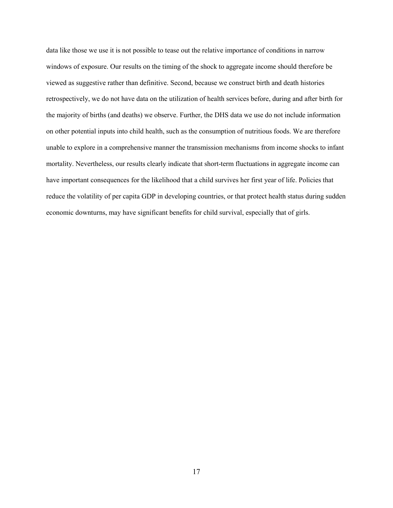data like those we use it is not possible to tease out the relative importance of conditions in narrow windows of exposure. Our results on the timing of the shock to aggregate income should therefore be viewed as suggestive rather than definitive. Second, because we construct birth and death histories retrospectively, we do not have data on the utilization of health services before, during and after birth for the majority of births (and deaths) we observe. Further, the DHS data we use do not include information on other potential inputs into child health, such as the consumption of nutritious foods. We are therefore unable to explore in a comprehensive manner the transmission mechanisms from income shocks to infant mortality. Nevertheless, our results clearly indicate that short-term fluctuations in aggregate income can have important consequences for the likelihood that a child survives her first year of life. Policies that reduce the volatility of per capita GDP in developing countries, or that protect health status during sudden economic downturns, may have significant benefits for child survival, especially that of girls.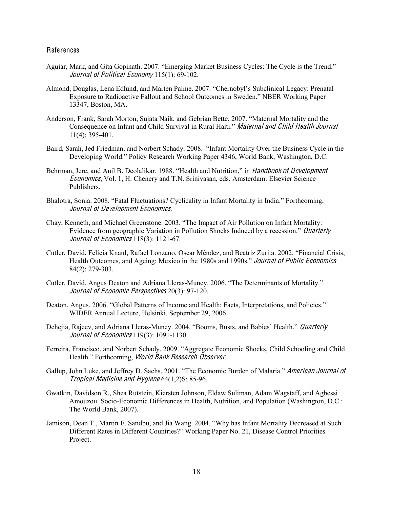#### References

- Aguiar, Mark, and Gita Gopinath. 2007. "Emerging Market Business Cycles: The Cycle is the Trend." Journal of Political Economy 115(1): 69-102.
- Almond, Douglas, Lena Edlund, and Marten Palme. 2007. "Chernobyl's Subclinical Legacy: Prenatal Exposure to Radioactive Fallout and School Outcomes in Sweden." NBER Working Paper 13347, Boston, MA.
- Anderson, Frank, Sarah Morton, Sujata Naik, and Gebrian Bette. 2007. "Maternal Mortality and the Consequence on Infant and Child Survival in Rural Haiti." Maternal and Child Health Journal 11(4): 395-401.
- Baird, Sarah, Jed Friedman, and Norbert Schady. 2008. "Infant Mortality Over the Business Cycle in the Developing World." Policy Research Working Paper 4346, World Bank, Washington, D.C.
- Behrman, Jere, and Anil B. Deolalikar. 1988. "Health and Nutrition," in *Handbook of Development* Economic<sup>s</sup>, Vol. 1, H. Chenery and T.N. Srinivasan, eds. Amsterdam: Elsevier Science Publishers.
- Bhalotra, Sonia. 2008. "Fatal Fluctuations? Cyclicality in Infant Mortality in India." Forthcoming, Journal <sup>o</sup>f Dev<sup>e</sup>lopmen<sup>t</sup> Economic<sup>s</sup>.
- Chay, Kenneth, and Michael Greenstone. 2003. "The Impact of Air Pollution on Infant Mortality: Evidence from geographic Variation in Pollution Shocks Induced by a recession." *Quarterly* Journal of Economics 118(3): 1121-67.
- Cutler, David, Felicia Knaul, Rafael Lonzano, Oscar Méndez, and Beatriz Zurita. 2002. "Financial Crisis, Health Outcomes, and Ageing: Mexico in the 1980s and 1990s." *Journal of Public Economics* 84(2): 279-303.
- Cutler, David, Angus Deaton and Adriana Lleras-Muney. 2006. "The Determinants of Mortality." Journal <sup>o</sup>f Economi<sup>c</sup> Perspective<sup>s</sup> 20(3): 97-120.
- Deaton, Angus. 2006. "Global Patterns of Income and Health: Facts, Interpretations, and Policies." WIDER Annual Lecture, Helsinki, September 29, 2006.
- Dehejia, Rajeev, and Adriana Lleras-Muney. 2004. "Booms, Busts, and Babies' Health." *Quarterly* Journal <sup>o</sup>f Economic<sup>s</sup> 119(3): 1091-1130.
- Ferreira, Francisco, and Norbert Schady. 2009. "Aggregate Economic Shocks, Child Schooling and Child Health." Forthcoming, World Bank Research Observer.
- Gallup, John Luke, and Jeffrey D. Sachs. 2001. "The Economic Burden of Malaria." American Journal <sup>o</sup>f Tropical Medicin<sup>e</sup> and Hygi<sup>e</sup>n<sup>e</sup> 64(1,2)S: 85-96.
- Gwatkin, Davidson R., Shea Rutstein, Kiersten Johnson, Eldaw Suliman, Adam Wagstaff, and Agbessi Amouzou. Socio-Economic Differences in Health, Nutrition, and Population (Washington, D.C.: The World Bank, 2007).
- Jamison, Dean T., Martin E. Sandbu, and Jia Wang. 2004. "Why has Infant Mortality Decreased at Such Different Rates in Different Countries?" Working Paper No. 21, Disease Control Priorities Project.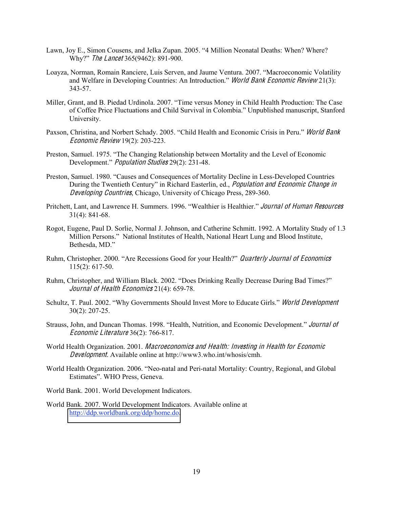- Lawn, Joy E., Simon Cousens, and Jelka Zupan. 2005. "4 Million Neonatal Deaths: When? Where? Why?" The Lancet 365(9462): 891-900.
- Loayza, Norman, Romain Ranciere, Luis Serven, and Jaume Ventura. 2007. "Macroeconomic Volatility and Welfare in Developing Countries: An Introduction." World Bank Economic Review 21(3): 343-57.
- Miller, Grant, and B. Piedad Urdinola. 2007. "Time versus Money in Child Health Production: The Case of Coffee Price Fluctuations and Child Survival in Colombia." Unpublished manuscript, Stanford University.
- Paxson, Christina, and Norbert Schady. 2005. "Child Health and Economic Crisis in Peru." World Bank Economi<sup>c</sup> Revie<sup>w</sup> 19(2): 203-223.
- Preston, Samuel. 1975. "The Changing Relationship between Mortality and the Level of Economic Development." Population Studie<sup>s</sup> 29(2): 231-48.
- Preston, Samuel. 1980. "Causes and Consequences of Mortality Decline in Less-Developed Countries During the Twentieth Century" in Richard Easterlin, ed., *Population and Economic Change in* Developing Countries, Chicago, University of Chicago Press, 289-360.
- Pritchett, Lant, and Lawrence H. Summers. 1996. "Wealthier is Healthier." Journal <sup>o</sup>f Human Resource<sup>s</sup> 31(4): 841-68.
- Rogot, Eugene, Paul D. Sorlie, Normal J. Johnson, and Catherine Schmitt. 1992. A Mortality Study of 1.3 Million Persons." National Institutes of Health, National Heart Lung and Blood Institute, Bethesda, MD."
- Ruhm, Christopher. 2000. "Are Recessions Good for your Health?" Quarterly Journal of Economics 115(2): 617-50.
- Ruhm, Christopher, and William Black. 2002. "Does Drinking Really Decrease During Bad Times?" Journal of Health Economics 21(4): 659-78.
- Schultz, T. Paul. 2002. "Why Governments Should Invest More to Educate Girls." World Dev<sup>e</sup>lopmen<sup>t</sup> 30(2): 207-25.
- Strauss, John, and Duncan Thomas. 1998. "Health, Nutrition, and Economic Development." Journal <sup>o</sup>f Economi<sup>c</sup> Literatur<sup>e</sup> 36(2): 766-817.
- World Health Organization. 2001. Macroeconomic<sup>s</sup> and Health: Investing in Health for Economi<sup>c</sup> Dev<sup>e</sup>lopment. Available online at http://www3.who.int/whosis/cmh.
- World Health Organization. 2006. "Neo-natal and Peri-natal Mortality: Country, Regional, and Global Estimates". WHO Press, Geneva.

World Bank. 2001. World Development Indicators.

World Bank. 2007. World Development Indicators. Available online at [http://ddp.worldbank.org/ddp/home.do.](http://ddp.worldbank.org/ddp/home.do)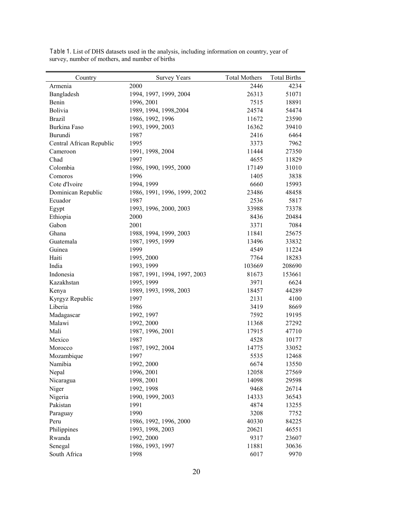| Country                  | <b>Survey Years</b>          | <b>Total Mothers</b> | <b>Total Births</b> |
|--------------------------|------------------------------|----------------------|---------------------|
| Armenia                  | 2000                         | 2446                 | 4234                |
| Bangladesh               | 1994, 1997, 1999, 2004       | 26313                | 51071               |
| Benin                    | 1996, 2001                   | 7515                 | 18891               |
| Bolivia                  | 1989, 1994, 1998, 2004       | 24574                | 54474               |
| <b>Brazil</b>            | 1986, 1992, 1996             | 11672                | 23590               |
| <b>Burkina Faso</b>      | 1993, 1999, 2003             | 16362                | 39410               |
| Burundi                  | 1987                         | 2416                 | 6464                |
| Central African Republic | 1995                         | 3373                 | 7962                |
| Cameroon                 | 1991, 1998, 2004             | 11444                | 27350               |
| Chad                     | 1997                         | 4655                 | 11829               |
| Colombia                 | 1986, 1990, 1995, 2000       | 17149                | 31010               |
| Comoros                  | 1996                         | 1405                 | 3838                |
| Cote d'Ivoire            | 1994, 1999                   | 6660                 | 15993               |
| Dominican Republic       | 1986, 1991, 1996, 1999, 2002 | 23486                | 48458               |
| Ecuador                  | 1987                         | 2536                 | 5817                |
| Egypt                    | 1993, 1996, 2000, 2003       | 33988                | 73378               |
| Ethiopia                 | 2000                         | 8436                 | 20484               |
| Gabon                    | 2001                         | 3371                 | 7084                |
| Ghana                    | 1988, 1994, 1999, 2003       | 11841                | 25675               |
| Guatemala                | 1987, 1995, 1999             | 13496                | 33832               |
| Guinea                   | 1999                         | 4549                 | 11224               |
| Haiti                    | 1995, 2000                   | 7764                 | 18283               |
| India                    | 1993, 1999                   | 103669               | 208690              |
| Indonesia                | 1987, 1991, 1994, 1997, 2003 | 81673                | 153661              |
| Kazakhstan               | 1995, 1999                   | 3971                 | 6624                |
| Kenya                    | 1989, 1993, 1998, 2003       | 18457                | 44289               |
| Kyrgyz Republic          | 1997                         | 2131                 | 4100                |
| Liberia                  | 1986                         | 3419                 | 8669                |
| Madagascar               | 1992, 1997                   | 7592                 | 19195               |
| Malawi                   | 1992, 2000                   | 11368                | 27292               |
| Mali                     | 1987, 1996, 2001             | 17915                | 47710               |
| Mexico                   | 1987                         | 4528                 | 10177               |
| Morocco                  | 1987, 1992, 2004             | 14775                | 33052               |
| Mozambique               | 1997                         | 5535                 | 12468               |
| Namibia                  | 1992, 2000                   | 6674                 | 13550               |
| Nepal                    | 1996, 2001                   | 12058                | 27569               |
| Nicaragua                | 1998, 2001                   | 14098                | 29598               |
| Niger                    | 1992, 1998                   | 9468                 | 26714               |
| Nigeria                  | 1990, 1999, 2003             | 14333                | 36543               |
| Pakistan                 | 1991                         | 4874                 | 13255               |
| Paraguay                 | 1990                         | 3208                 | 7752                |
| Peru                     | 1986, 1992, 1996, 2000       | 40330                | 84225               |
| Philippines              | 1993, 1998, 2003             | 20621                | 46551               |
| Rwanda                   | 1992, 2000                   | 9317                 | 23607               |
| Senegal                  | 1986, 1993, 1997             | 11881                | 30636               |
| South Africa             | 1998                         | 6017                 | 9970                |

Table 1. List of DHS datasets used in the analysis, including information on country, year of survey, number of mothers, and number of births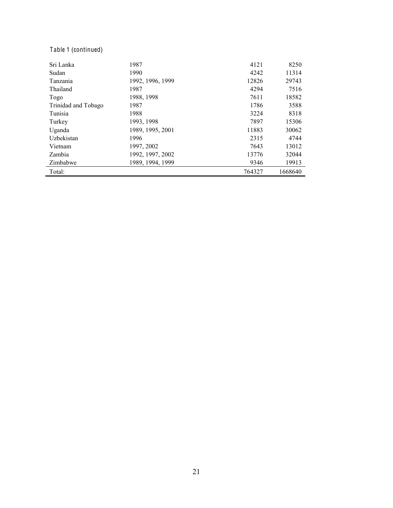# Table 1 (continued)

| Sri Lanka           | 1987             | 4121   | 8250    |
|---------------------|------------------|--------|---------|
| Sudan               | 1990             | 4242   | 11314   |
| Tanzania            | 1992, 1996, 1999 | 12826  | 29743   |
| Thailand            | 1987             | 4294   | 7516    |
| Togo                | 1988, 1998       | 7611   | 18582   |
| Trinidad and Tobago | 1987             | 1786   | 3588    |
| Tunisia             | 1988             | 3224   | 8318    |
| Turkey              | 1993, 1998       | 7897   | 15306   |
| Uganda              | 1989, 1995, 2001 | 11883  | 30062   |
| Uzbekistan          | 1996             | 2315   | 4744    |
| Vietnam             | 1997, 2002       | 7643   | 13012   |
| Zambia              | 1992, 1997, 2002 | 13776  | 32044   |
| Zimbabwe            | 1989, 1994, 1999 | 9346   | 19913   |
| Total:              |                  | 764327 | 1668640 |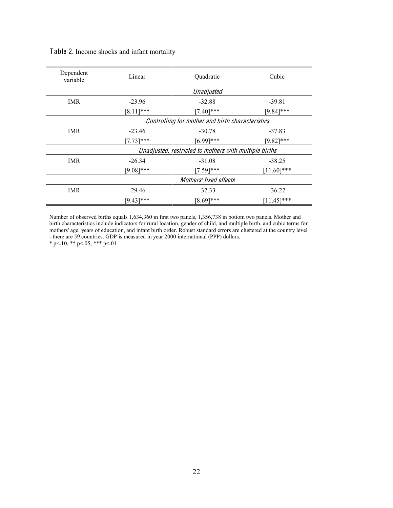| Dependent<br>variable | Linear                                           | Quadratic                                              | Cubic         |  |
|-----------------------|--------------------------------------------------|--------------------------------------------------------|---------------|--|
|                       |                                                  | Unadjusted                                             |               |  |
| <b>IMR</b>            | $-23.96$                                         | $-32.88$                                               | $-39.81$      |  |
|                       | $[8.11]$ ***                                     | $[7.40]$ ***                                           | $[9.84]$ ***  |  |
|                       | Controlling for mother and birth characteristics |                                                        |               |  |
| <b>IMR</b>            | $-23.46$                                         | $-30.78$                                               | $-37.83$      |  |
|                       | $[7.73]***$                                      | $[6.99]$ ***                                           | $[9.82]$ ***  |  |
|                       |                                                  | Unadjusted, restricted to mothers with multiple births |               |  |
| <b>IMR</b>            | $-26.34$                                         | $-31.08$                                               | $-38.25$      |  |
|                       | $[9.08]$ ***                                     | $[7.59]$ ***                                           | $[11.60]$ *** |  |
|                       |                                                  | Mothers' fixed effects                                 |               |  |
| <b>IMR</b>            | $-29.46$                                         | $-32.33$                                               | $-36.22$      |  |
|                       | $[9.43]$ ***                                     | $[8.69]$ ***                                           | $[11.45]$ *** |  |

Table 2. Income shocks and infant mortality

Number of observed births equals 1,634,360 in first two panels, 1,356,738 in bottom two panels. Mother and birth characteristics include indicators for rural location, gender of child, and multiple birth, and cubic terms for mothers' age, years of education, and infant birth order. Robust standard errors are clustered at the country level - there are 59 countries. GDP is measured in year 2000 international (PPP) dollars.

\* p<.10, \*\* p<.05, \*\*\* p<.01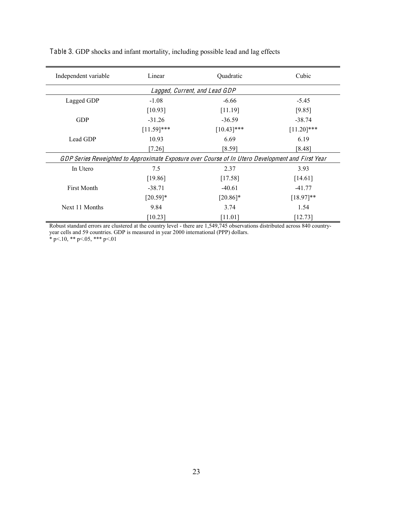| Independent variable | Linear        | Quadratic                                                                                        | Cubic         |
|----------------------|---------------|--------------------------------------------------------------------------------------------------|---------------|
|                      |               | Lagged, Current, and Lead GDP                                                                    |               |
| Lagged GDP           | $-1.08$       | $-6.66$                                                                                          | $-5.45$       |
|                      | [10.93]       | [11.19]                                                                                          | [9.85]        |
| <b>GDP</b>           | $-31.26$      | $-36.59$                                                                                         | $-38.74$      |
|                      | $[11.59]$ *** | $[10.43]$ ***                                                                                    | $[11.20]$ *** |
| Lead GDP             | 10.93         | 6.69                                                                                             | 6.19          |
|                      | $[7.26]$      | [8.59]                                                                                           | [8.48]        |
|                      |               | GDP Series Reweighted to Approximate Exposure over Course of In Utero Development and First Year |               |
| In Utero             | 7.5           | 2.37                                                                                             | 3.93          |
|                      | [19.86]       | [17.58]                                                                                          | [14.61]       |
| <b>First Month</b>   | $-38.71$      | $-40.61$                                                                                         | $-41.77$      |
|                      | $[20.59]*$    | $[20.86]$ *                                                                                      | $[18.97]**$   |
| Next 11 Months       | 9.84          | 3.74                                                                                             | 1.54          |
|                      | [10.23]       | [11.01]                                                                                          | [12.73]       |

Table 3. GDP shocks and infant mortality, including possible lead and lag effects

Robust standard errors are clustered at the country level - there are 1,549,745 observations distributed across 840 countryyear cells and 59 countries. GDP is measured in year 2000 international (PPP) dollars.

 $*$  p $< 10$ ,  $*$  p $< 05$ ,  $*$  p $< 01$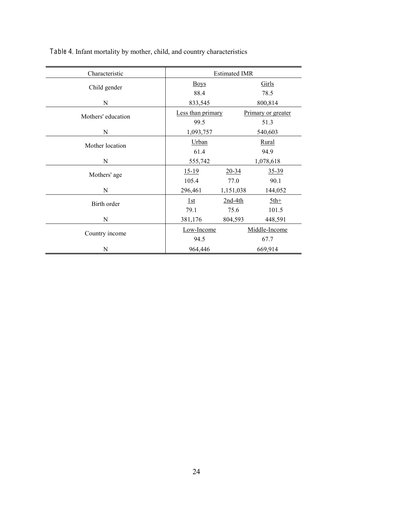| Characteristic     | <b>Estimated IMR</b> |           |                    |  |
|--------------------|----------------------|-----------|--------------------|--|
| Child gender       | <b>Boys</b>          |           | Girls              |  |
|                    | 88.4                 |           | 78.5               |  |
| ${\bf N}$          | 833,545<br>800,814   |           |                    |  |
| Mothers' education | Less than primary    |           | Primary or greater |  |
|                    | 99.5                 |           | 51.3               |  |
| N                  | 540,603<br>1,093,757 |           |                    |  |
| Mother location    | Urban                |           | <b>Rural</b>       |  |
|                    | 61.4                 |           | 94.9               |  |
| N                  | 555,742              |           | 1,078,618          |  |
| Mothers' age       | $15-19$              | $20 - 34$ | $35 - 39$          |  |
|                    | 105.4                | 77.0      | 90.1               |  |
| N                  | 296,461              | 1,151,038 | 144,052            |  |
| Birth order        | 1st                  | $2nd-4th$ | $5th+$             |  |
|                    | 79.1                 | 75.6      | 101.5              |  |
| N                  | 381,176              | 804,593   | 448,591            |  |
|                    | Low-Income           |           | Middle-Income      |  |
| Country income     | 94.5                 |           | 67.7               |  |
| N                  | 964,446<br>669,914   |           |                    |  |

Table 4. Infant mortality by mother, child, and country characteristics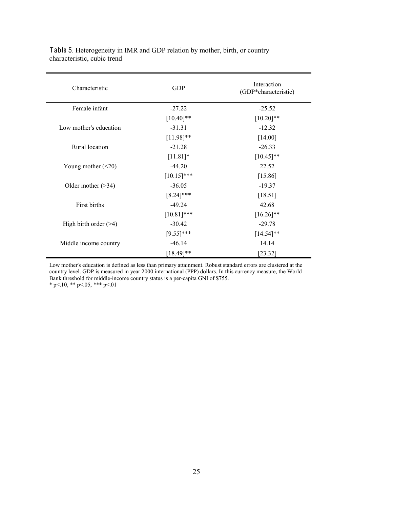| Characteristic           | <b>GDP</b>    | Interaction<br>(GDP*characteristic) |
|--------------------------|---------------|-------------------------------------|
| Female infant            | $-27.22$      | $-25.52$                            |
|                          | $[10.40]$ **  | $[10.20]$ **                        |
| Low mother's education   | $-31.31$      | $-12.32$                            |
|                          | $[11.98]**$   | [14.00]                             |
| Rural location           | $-21.28$      | $-26.33$                            |
|                          | $[11.81]*$    | $[10.45]$ **                        |
| Young mother $(\leq 20)$ | $-44.20$      | 22.52                               |
|                          | $[10.15]$ *** | [15.86]                             |
| Older mother $($ >34)    | $-36.05$      | $-19.37$                            |
|                          | $[8.24]$ ***  | [18.51]                             |
| First births             | $-49.24$      | 42.68                               |
|                          | $[10.81]$ *** | $[16.26]$ **                        |
| High birth order $($ >4) | $-30.42$      | $-29.78$                            |
|                          | $[9.55]$ ***  | $[14.54]$ **                        |
| Middle income country    | $-46.14$      | 14.14                               |
|                          | $[18.49]$ **  | [23.32]                             |

Table 5. Heterogeneity in IMR and GDP relation by mother, birth, or country characteristic, cubic trend

Low mother's education is defined as less than primary attainment. Robust standard errors are clustered at the country level. GDP is measured in year 2000 international (PPP) dollars. In this currency measure, the World Bank threshold for middle-income country status is a per-capita GNI of \$755.

 $*$  p $< 10$ ,  $*$  p $< 05$ ,  $*$  p $< 01$